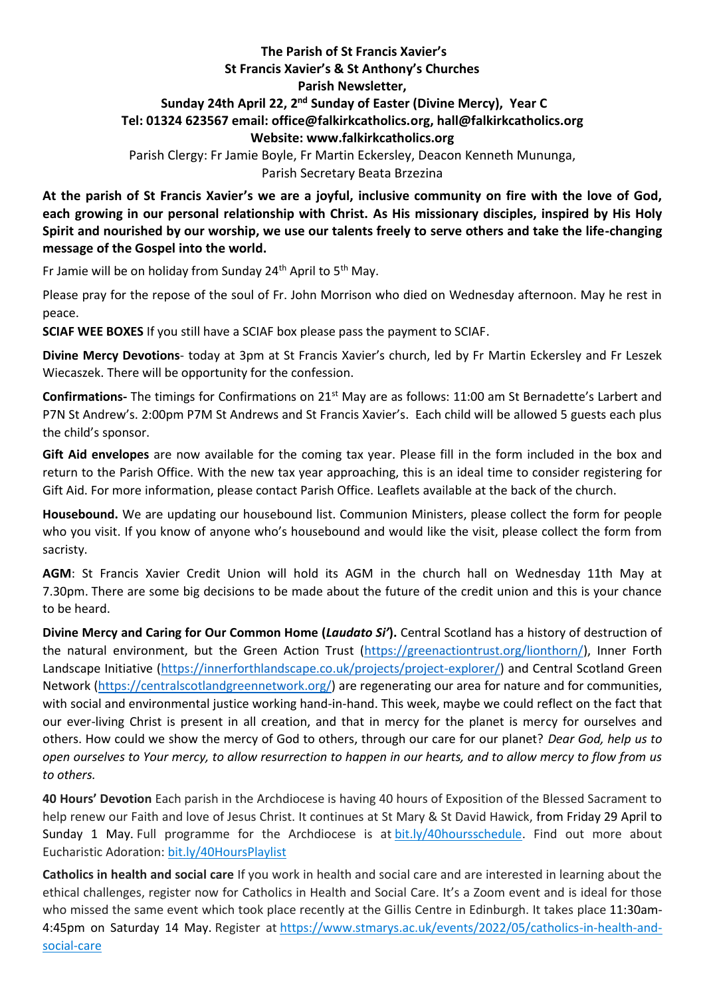## **The Parish of St Francis Xavier's St Francis Xavier's & St Anthony's Churches Parish Newsletter, Sunday 24th April 22, 2 nd Sunday of Easter (Divine Mercy), Year C Tel: 01324 623567 email: office@falkirkcatholics.org, [hall@falkirkcatholics.org](mailto:hall@falkirkcatholics.org) Website: [www.falkirkcatholics.org](http://www.falkirkcatholics.org/)**  Parish Clergy: Fr Jamie Boyle, Fr Martin Eckersley, Deacon Kenneth Mununga,

Parish Secretary Beata Brzezina

**At the parish of St Francis Xavier's we are a joyful, inclusive community on fire with the love of God, each growing in our personal relationship with Christ. As His missionary disciples, inspired by His Holy Spirit and nourished by our worship, we use our talents freely to serve others and take the life-changing message of the Gospel into the world.** 

Fr Jamie will be on holiday from Sunday 24<sup>th</sup> April to  $5<sup>th</sup>$  May.

Please pray for the repose of the soul of Fr. John Morrison who died on Wednesday afternoon. May he rest in peace.

**SCIAF WEE BOXES** If you still have a SCIAF box please pass the payment to SCIAF.

**Divine Mercy Devotions**- today at 3pm at St Francis Xavier's church, led by Fr Martin Eckersley and Fr Leszek Wiecaszek. There will be opportunity for the confession.

**Confirmations-** The timings for Confirmations on 21st May are as follows: 11:00 am St Bernadette's Larbert and P7N St Andrew's. 2:00pm P7M St Andrews and St Francis Xavier's. Each child will be allowed 5 guests each plus the child's sponsor.

**Gift Aid envelopes** are now available for the coming tax year. Please fill in the form included in the box and return to the Parish Office. With the new tax year approaching, this is an ideal time to consider registering for Gift Aid. For more information, please contact Parish Office. Leaflets available at the back of the church.

**Housebound.** We are updating our housebound list. Communion Ministers, please collect the form for people who you visit. If you know of anyone who's housebound and would like the visit, please collect the form from sacristy.

**AGM**: St Francis Xavier Credit Union will hold its AGM in the church hall on Wednesday 11th May at 7.30pm. There are some big decisions to be made about the future of the credit union and this is your chance to be heard.

**Divine Mercy and Caring for Our Common Home (***Laudato Si'***).** Central Scotland has a history of destruction of the natural environment, but the Green Action Trust [\(https://greenactiontrust.org/lionthorn/\)](https://greenactiontrust.org/lionthorn/), Inner Forth Landscape Initiative [\(https://innerforthlandscape.co.uk/projects/project-explorer/\)](https://innerforthlandscape.co.uk/projects/project-explorer/) and Central Scotland Green Network [\(https://centralscotlandgreennetwork.org/\)](https://centralscotlandgreennetwork.org/) are regenerating our area for nature and for communities, with social and environmental justice working hand-in-hand. This week, maybe we could reflect on the fact that our ever-living Christ is present in all creation, and that in mercy for the planet is mercy for ourselves and others. How could we show the mercy of God to others, through our care for our planet? *Dear God, help us to open ourselves to Your mercy, to allow resurrection to happen in our hearts, and to allow mercy to flow from us to others.*

**40 Hours' Devotion** Each parish in the Archdiocese is having 40 hours of Exposition of the Blessed Sacrament to help renew our Faith and love of Jesus Christ. It continues at St Mary & St David Hawick, from Friday 29 April to Sunday 1 May. Full programme for the Archdiocese is at [bit.ly/40hoursschedule.](https://bit.ly/40hoursschedule?fbclid=IwAR2SjJ2jLYhcQumxKK24uHJHDu0y-uda3HFzPBQ4uxFkH3KVV6pbMOMH8xU) Find out more about Eucharistic Adoration: [bit.ly/40HoursPlaylist](https://www.youtube.com/playlist?list=PLQv_xMj23KQhTlXah0pBiYjsZDFx2grae)

**Catholics in health and social care** If you work in health and social care and are interested in learning about the ethical challenges, register now for Catholics in Health and Social Care. It's a Zoom event and is ideal for those who missed the same event which took place recently at the Gillis Centre in Edinburgh. It takes place 11:30am4:45pm on Saturday 14 May. Register at [https://www.stmarys.ac.uk/events/2022/05/catholics-in-health-and](https://www.stmarys.ac.uk/events/2022/05/catholics-in-health-and-social-care)[social-care](https://www.stmarys.ac.uk/events/2022/05/catholics-in-health-and-social-care)